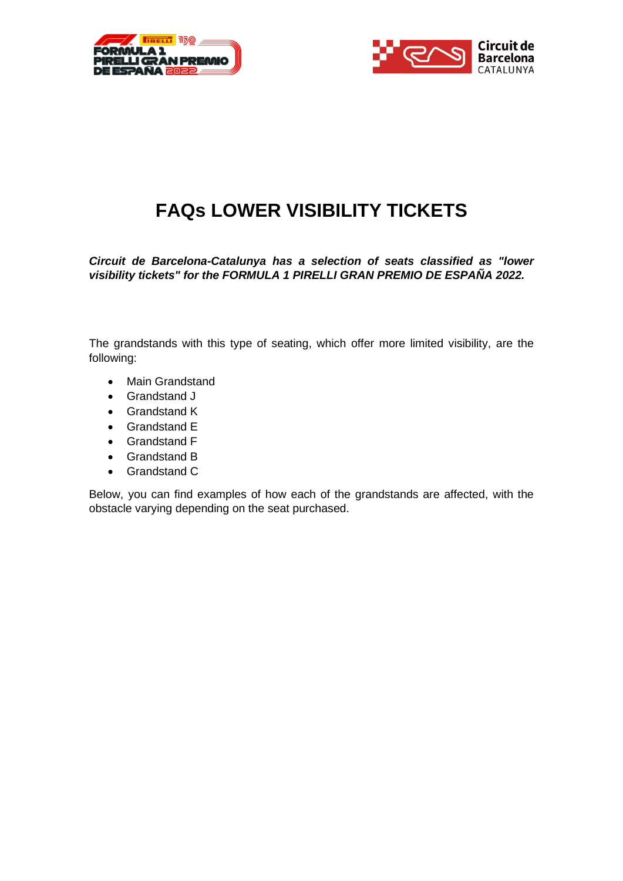



# **FAQs LOWER VISIBILITY TICKETS**

*Circuit de Barcelona-Catalunya has a selection of seats classified as "lower visibility tickets" for the FORMULA 1 PIRELLI GRAN PREMIO DE ESPAÑA 2022.* 

The grandstands with this type of seating, which offer more limited visibility, are the following:

- Main Grandstand
- Grandstand J
- Grandstand K
- Grandstand E
- Grandstand F
- Grandstand B
- Grandstand C

Below, you can find examples of how each of the grandstands are affected, with the obstacle varying depending on the seat purchased.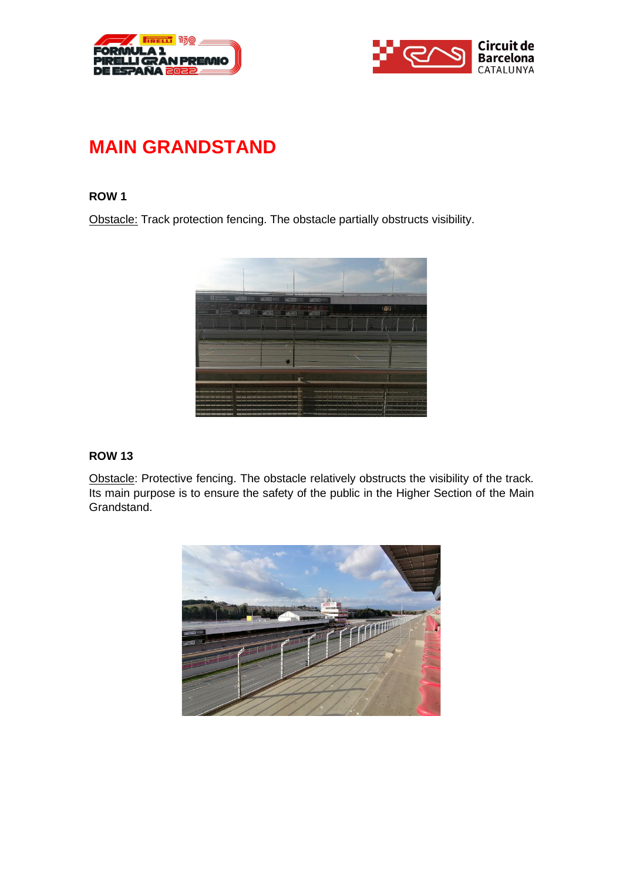



## **MAIN GRANDSTAND**

#### **ROW 1**

Obstacle: Track protection fencing. The obstacle partially obstructs visibility.



#### **ROW 13**

Obstacle: Protective fencing. The obstacle relatively obstructs the visibility of the track. Its main purpose is to ensure the safety of the public in the Higher Section of the Main Grandstand.

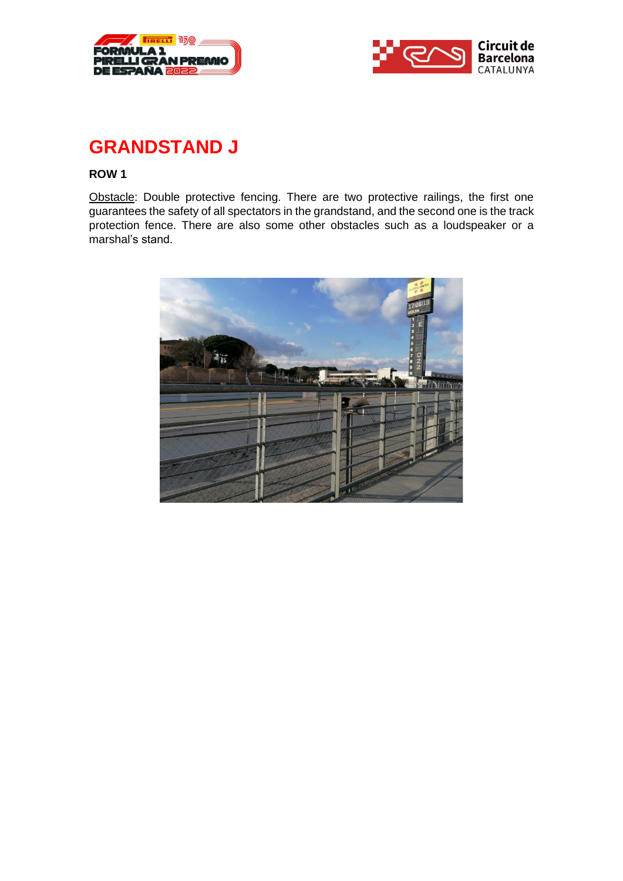



## **GRANDSTAND J**

#### **ROW 1**

Obstacle: Double protective fencing. There are two protective railings, the first one guarantees the safety of all spectators in the grandstand, and the second one is the track protection fence. There are also some other obstacles such as a loudspeaker or a marshal's stand.

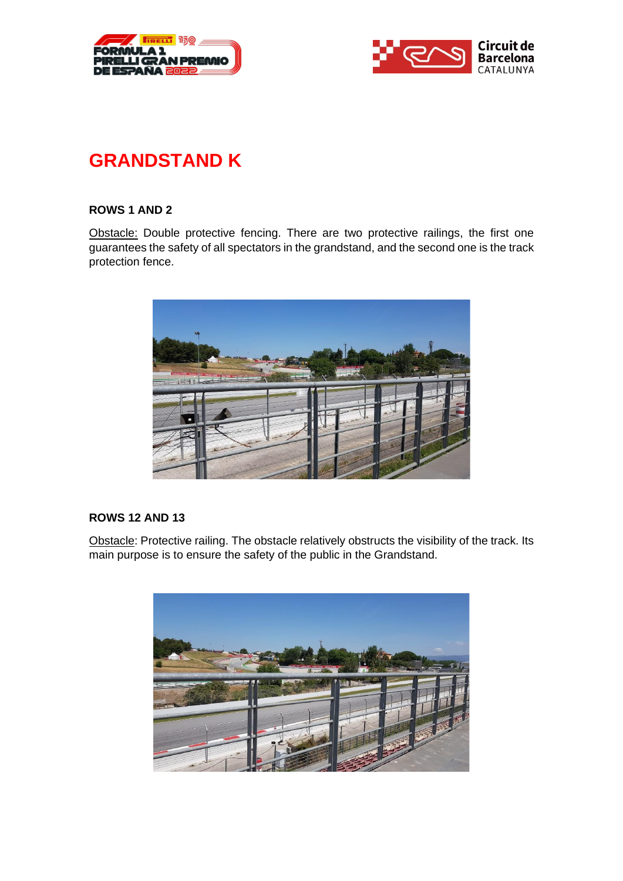



# **GRANDSTAND K**

### **ROWS 1 AND 2**

Obstacle: Double protective fencing. There are two protective railings, the first one guarantees the safety of all spectators in the grandstand, and the second one is the track protection fence.



#### **ROWS 12 AND 13**

Obstacle: Protective railing. The obstacle relatively obstructs the visibility of the track. Its main purpose is to ensure the safety of the public in the Grandstand.

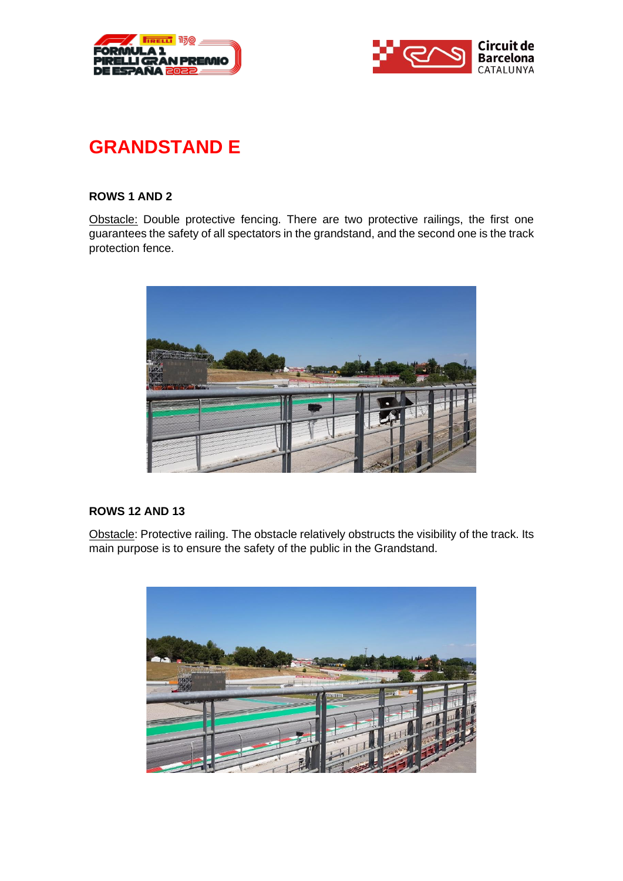



# **GRANDSTAND E**

#### **ROWS 1 AND 2**

Obstacle: Double protective fencing. There are two protective railings, the first one guarantees the safety of all spectators in the grandstand, and the second one is the track protection fence.



### **ROWS 12 AND 13**

Obstacle: Protective railing. The obstacle relatively obstructs the visibility of the track. Its main purpose is to ensure the safety of the public in the Grandstand.

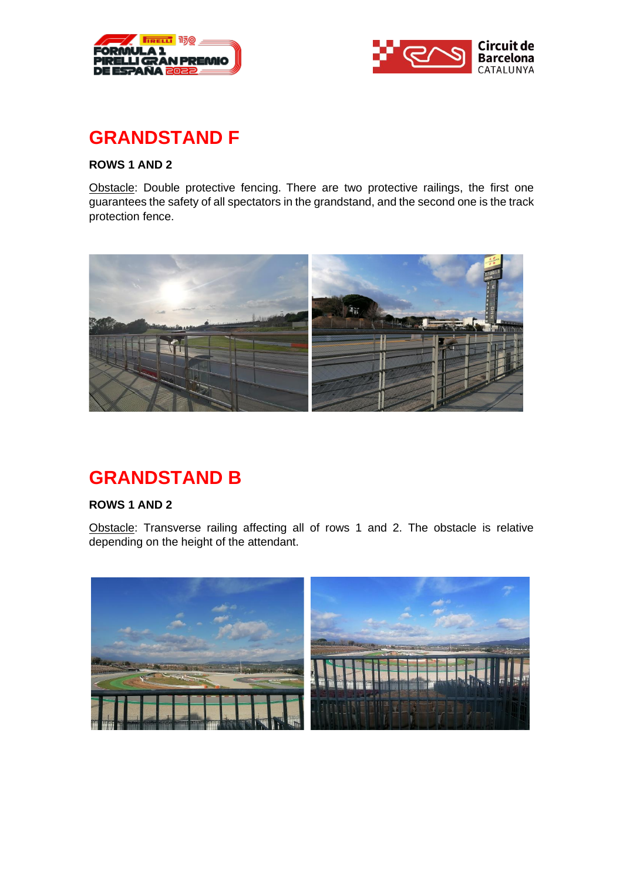



## **GRANDSTAND F**

### **ROWS 1 AND 2**

Obstacle: Double protective fencing. There are two protective railings, the first one guarantees the safety of all spectators in the grandstand, and the second one is the track protection fence.



## **GRANDSTAND B**

### **ROWS 1 AND 2**

Obstacle: Transverse railing affecting all of rows 1 and 2. The obstacle is relative depending on the height of the attendant.